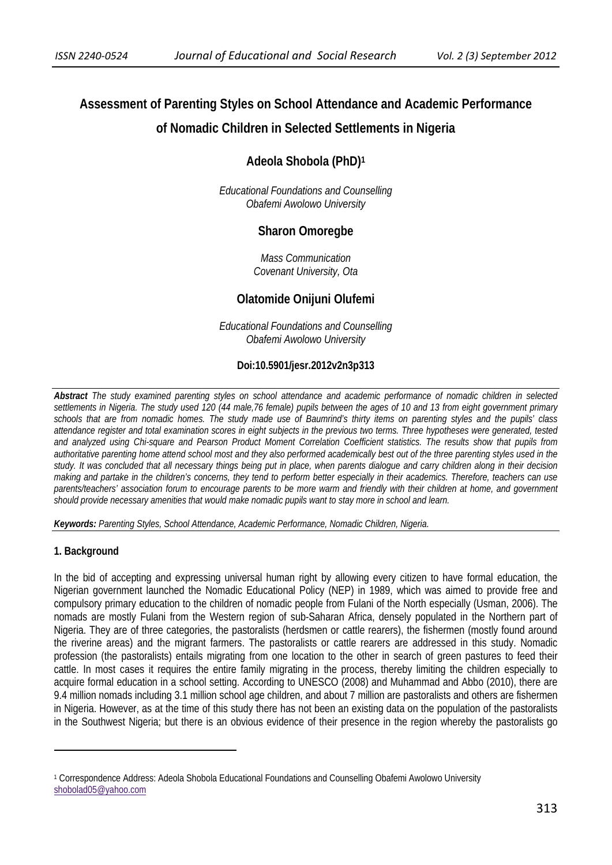# **Assessment of Parenting Styles on School Attendance and Academic Performance of Nomadic Children in Selected Settlements in Nigeria**

## **Adeola Shobola (PhD)1**

*Educational Foundations and Counselling Obafemi Awolowo University* 

## **Sharon Omoregbe**

*Mass Communication Covenant University, Ota* 

## **Olatomide Onijuni Olufemi**

*Educational Foundations and Counselling Obafemi Awolowo University* 

#### **Doi:10.5901/jesr.2012v2n3p313**

*Abstract The study examined parenting styles on school attendance and academic performance of nomadic children in selected settlements in Nigeria. The study used 120 (44 male,76 female) pupils between the ages of 10 and 13 from eight government primary schools that are from nomadic homes. The study made use of Baumrind's thirty items on parenting styles and the pupils' class attendance register and total examination scores in eight subjects in the previous two terms. Three hypotheses were generated, tested and analyzed using Chi-square and Pearson Product Moment Correlation Coefficient statistics. The results show that pupils from authoritative parenting home attend school most and they also performed academically best out of the three parenting styles used in the study. It was concluded that all necessary things being put in place, when parents dialogue and carry children along in their decision making and partake in the children's concerns, they tend to perform better especially in their academics. Therefore, teachers can use parents/teachers' association forum to encourage parents to be more warm and friendly with their children at home, and government should provide necessary amenities that would make nomadic pupils want to stay more in school and learn.*

*Keywords: Parenting Styles, School Attendance, Academic Performance, Nomadic Children, Nigeria.*

#### **1. Background**

In the bid of accepting and expressing universal human right by allowing every citizen to have formal education, the Nigerian government launched the Nomadic Educational Policy (NEP) in 1989, which was aimed to provide free and compulsory primary education to the children of nomadic people from Fulani of the North especially (Usman, 2006). The nomads are mostly Fulani from the Western region of sub-Saharan Africa, densely populated in the Northern part of Nigeria. They are of three categories, the pastoralists (herdsmen or cattle rearers), the fishermen (mostly found around the riverine areas) and the migrant farmers. The pastoralists or cattle rearers are addressed in this study. Nomadic profession (the pastoralists) entails migrating from one location to the other in search of green pastures to feed their cattle. In most cases it requires the entire family migrating in the process, thereby limiting the children especially to acquire formal education in a school setting. According to UNESCO (2008) and Muhammad and Abbo (2010), there are 9.4 million nomads including 3.1 million school age children, and about 7 million are pastoralists and others are fishermen in Nigeria. However, as at the time of this study there has not been an existing data on the population of the pastoralists in the Southwest Nigeria; but there is an obvious evidence of their presence in the region whereby the pastoralists go

<sup>1</sup> Correspondence Address: Adeola Shobola Educational Foundations and Counselling Obafemi Awolowo University shobolad05@yahoo.com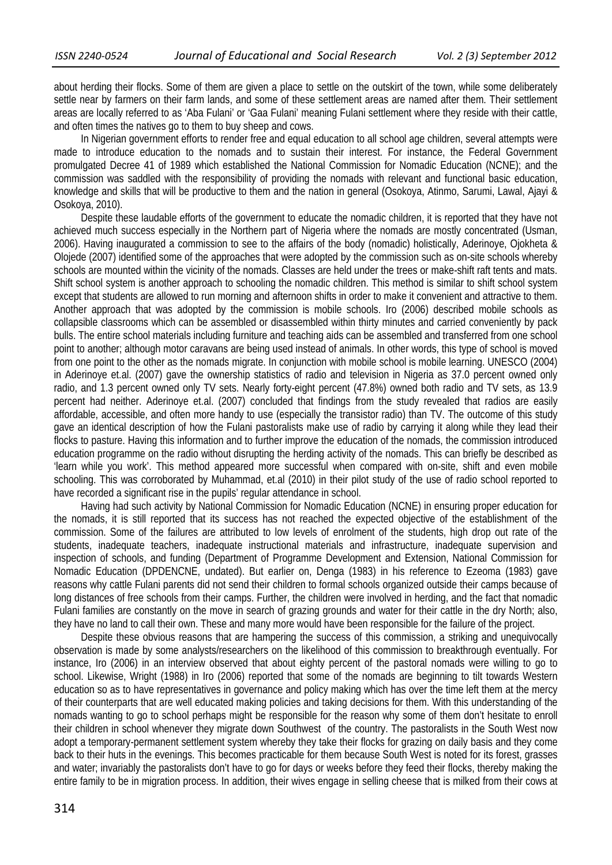about herding their flocks. Some of them are given a place to settle on the outskirt of the town, while some deliberately settle near by farmers on their farm lands, and some of these settlement areas are named after them. Their settlement areas are locally referred to as 'Aba Fulani' or 'Gaa Fulani' meaning Fulani settlement where they reside with their cattle, and often times the natives go to them to buy sheep and cows.

In Nigerian government efforts to render free and equal education to all school age children, several attempts were made to introduce education to the nomads and to sustain their interest. For instance, the Federal Government promulgated Decree 41 of 1989 which established the National Commission for Nomadic Education (NCNE); and the commission was saddled with the responsibility of providing the nomads with relevant and functional basic education, knowledge and skills that will be productive to them and the nation in general (Osokoya, Atinmo, Sarumi, Lawal, Ajayi & Osokoya, 2010).

Despite these laudable efforts of the government to educate the nomadic children, it is reported that they have not achieved much success especially in the Northern part of Nigeria where the nomads are mostly concentrated (Usman, 2006). Having inaugurated a commission to see to the affairs of the body (nomadic) holistically, Aderinoye, Ojokheta & Olojede (2007) identified some of the approaches that were adopted by the commission such as on-site schools whereby schools are mounted within the vicinity of the nomads. Classes are held under the trees or make-shift raft tents and mats. Shift school system is another approach to schooling the nomadic children. This method is similar to shift school system except that students are allowed to run morning and afternoon shifts in order to make it convenient and attractive to them. Another approach that was adopted by the commission is mobile schools. Iro (2006) described mobile schools as collapsible classrooms which can be assembled or disassembled within thirty minutes and carried conveniently by pack bulls. The entire school materials including furniture and teaching aids can be assembled and transferred from one school point to another; although motor caravans are being used instead of animals. In other words, this type of school is moved from one point to the other as the nomads migrate. In conjunction with mobile school is mobile learning. UNESCO (2004) in Aderinoye et.al. (2007) gave the ownership statistics of radio and television in Nigeria as 37.0 percent owned only radio, and 1.3 percent owned only TV sets. Nearly forty-eight percent (47.8%) owned both radio and TV sets, as 13.9 percent had neither. Aderinoye et.al. (2007) concluded that findings from the study revealed that radios are easily affordable, accessible, and often more handy to use (especially the transistor radio) than TV. The outcome of this study gave an identical description of how the Fulani pastoralists make use of radio by carrying it along while they lead their flocks to pasture. Having this information and to further improve the education of the nomads, the commission introduced education programme on the radio without disrupting the herding activity of the nomads. This can briefly be described as 'learn while you work'. This method appeared more successful when compared with on-site, shift and even mobile schooling. This was corroborated by Muhammad, et.al (2010) in their pilot study of the use of radio school reported to have recorded a significant rise in the pupils' regular attendance in school.

Having had such activity by National Commission for Nomadic Education (NCNE) in ensuring proper education for the nomads, it is still reported that its success has not reached the expected objective of the establishment of the commission. Some of the failures are attributed to low levels of enrolment of the students, high drop out rate of the students, inadequate teachers, inadequate instructional materials and infrastructure, inadequate supervision and inspection of schools, and funding (Department of Programme Development and Extension, National Commission for Nomadic Education (DPDENCNE, undated). But earlier on, Denga (1983) in his reference to Ezeoma (1983) gave reasons why cattle Fulani parents did not send their children to formal schools organized outside their camps because of long distances of free schools from their camps. Further, the children were involved in herding, and the fact that nomadic Fulani families are constantly on the move in search of grazing grounds and water for their cattle in the dry North; also, they have no land to call their own. These and many more would have been responsible for the failure of the project.

Despite these obvious reasons that are hampering the success of this commission, a striking and unequivocally observation is made by some analysts/researchers on the likelihood of this commission to breakthrough eventually. For instance, Iro (2006) in an interview observed that about eighty percent of the pastoral nomads were willing to go to school. Likewise, Wright (1988) in Iro (2006) reported that some of the nomads are beginning to tilt towards Western education so as to have representatives in governance and policy making which has over the time left them at the mercy of their counterparts that are well educated making policies and taking decisions for them. With this understanding of the nomads wanting to go to school perhaps might be responsible for the reason why some of them don't hesitate to enroll their children in school whenever they migrate down Southwest of the country. The pastoralists in the South West now adopt a temporary-permanent settlement system whereby they take their flocks for grazing on daily basis and they come back to their huts in the evenings. This becomes practicable for them because South West is noted for its forest, grasses and water; invariably the pastoralists don't have to go for days or weeks before they feed their flocks, thereby making the entire family to be in migration process. In addition, their wives engage in selling cheese that is milked from their cows at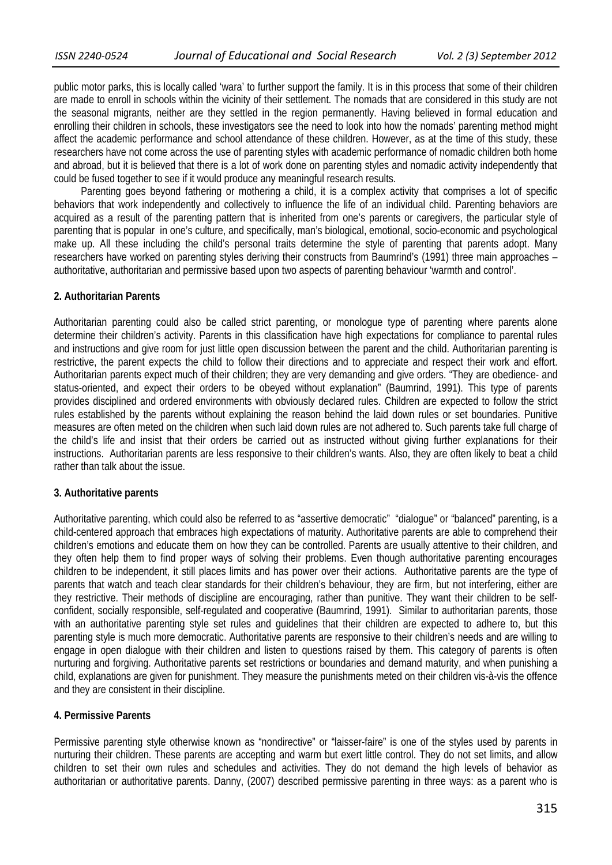public motor parks, this is locally called 'wara' to further support the family. It is in this process that some of their children are made to enroll in schools within the vicinity of their settlement. The nomads that are considered in this study are not the seasonal migrants, neither are they settled in the region permanently. Having believed in formal education and enrolling their children in schools, these investigators see the need to look into how the nomads' parenting method might affect the academic performance and school attendance of these children. However, as at the time of this study, these researchers have not come across the use of parenting styles with academic performance of nomadic children both home and abroad, but it is believed that there is a lot of work done on parenting styles and nomadic activity independently that could be fused together to see if it would produce any meaningful research results.

 Parenting goes beyond fathering or mothering a child, it is a complex activity that comprises a lot of specific behaviors that work independently and collectively to influence the life of an individual child. Parenting behaviors are acquired as a result of the parenting pattern that is inherited from one's parents or caregivers, the particular style of parenting that is popular in one's culture, and specifically, man's biological, emotional, socio-economic and psychological make up. All these including the child's personal traits determine the style of parenting that parents adopt. Many researchers have worked on parenting styles deriving their constructs from Baumrind's (1991) three main approaches – authoritative, authoritarian and permissive based upon two aspects of parenting behaviour 'warmth and control'.

#### **2. Authoritarian Parents**

Authoritarian parenting could also be called strict parenting, or monologue type of parenting where parents alone determine their children's activity. Parents in this classification have high expectations for compliance to parental rules and instructions and give room for just little open discussion between the parent and the child. Authoritarian parenting is restrictive, the parent expects the child to follow their directions and to appreciate and respect their work and effort. Authoritarian parents expect much of their children; they are very demanding and give orders. "They are obedience- and status-oriented, and expect their orders to be obeyed without explanation" (Baumrind, 1991). This type of parents provides disciplined and ordered environments with obviously declared rules. Children are expected to follow the strict rules established by the parents without explaining the reason behind the laid down rules or set boundaries. Punitive measures are often meted on the children when such laid down rules are not adhered to. Such parents take full charge of the child's life and insist that their orders be carried out as instructed without giving further explanations for their instructions. Authoritarian parents are less responsive to their children's wants. Also, they are often likely to beat a child rather than talk about the issue.

#### **3. Authoritative parents**

Authoritative parenting, which could also be referred to as "assertive democratic" "dialogue" or "balanced" parenting, is a child-centered approach that embraces high expectations of maturity. Authoritative parents are able to comprehend their children's emotions and educate them on how they can be controlled. Parents are usually attentive to their children, and they often help them to find proper ways of solving their problems. Even though authoritative parenting encourages children to be independent, it still places limits and has power over their actions. Authoritative parents are the type of parents that watch and teach clear standards for their children's behaviour, they are firm, but not interfering, either are they restrictive. Their methods of discipline are encouraging, rather than punitive. They want their children to be selfconfident, socially responsible, self-regulated and cooperative (Baumrind, 1991). Similar to authoritarian parents, those with an authoritative parenting style set rules and guidelines that their children are expected to adhere to, but this parenting style is much more democratic. Authoritative parents are responsive to their children's needs and are willing to engage in open dialogue with their children and listen to questions raised by them. This category of parents is often nurturing and forgiving. Authoritative parents set restrictions or boundaries and demand maturity, and when punishing a child, explanations are given for punishment. They measure the punishments meted on their children vis-à-vis the offence and they are consistent in their discipline.

#### **4. Permissive Parents**

Permissive parenting style otherwise known as "nondirective" or "laisser-faire" is one of the styles used by parents in nurturing their children. These parents are accepting and warm but exert little control. They do not set limits, and allow children to set their own rules and schedules and activities. They do not demand the high levels of behavior as authoritarian or authoritative parents. Danny, (2007) described permissive parenting in three ways: as a parent who is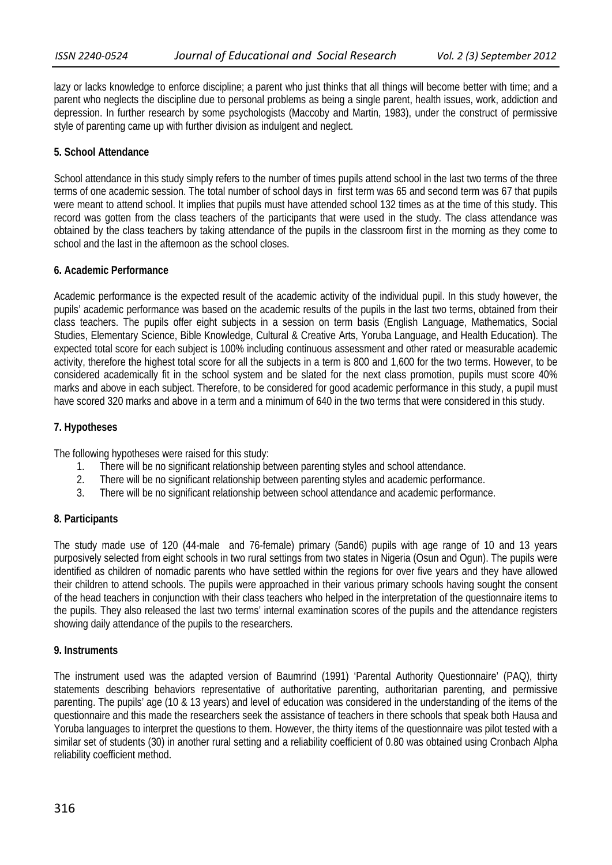lazy or lacks knowledge to enforce discipline; a parent who just thinks that all things will become better with time; and a parent who neglects the discipline due to personal problems as being a single parent, health issues, work, addiction and depression. In further research by some psychologists (Maccoby and Martin, 1983), under the construct of permissive style of parenting came up with further division as indulgent and neglect.

## **5. School Attendance**

School attendance in this study simply refers to the number of times pupils attend school in the last two terms of the three terms of one academic session. The total number of school days in first term was 65 and second term was 67 that pupils were meant to attend school. It implies that pupils must have attended school 132 times as at the time of this study. This record was gotten from the class teachers of the participants that were used in the study. The class attendance was obtained by the class teachers by taking attendance of the pupils in the classroom first in the morning as they come to school and the last in the afternoon as the school closes.

## **6. Academic Performance**

Academic performance is the expected result of the academic activity of the individual pupil. In this study however, the pupils' academic performance was based on the academic results of the pupils in the last two terms, obtained from their class teachers. The pupils offer eight subjects in a session on term basis (English Language, Mathematics, Social Studies, Elementary Science, Bible Knowledge, Cultural & Creative Arts, Yoruba Language, and Health Education). The expected total score for each subject is 100% including continuous assessment and other rated or measurable academic activity, therefore the highest total score for all the subjects in a term is 800 and 1,600 for the two terms. However, to be considered academically fit in the school system and be slated for the next class promotion, pupils must score 40% marks and above in each subject. Therefore, to be considered for good academic performance in this study, a pupil must have scored 320 marks and above in a term and a minimum of 640 in the two terms that were considered in this study.

## **7. Hypotheses**

The following hypotheses were raised for this study:

- 1. There will be no significant relationship between parenting styles and school attendance.
- 2. There will be no significant relationship between parenting styles and academic performance.
- 3. There will be no significant relationship between school attendance and academic performance.

## **8. Participants**

The study made use of 120 (44-male and 76-female) primary (5and6) pupils with age range of 10 and 13 years purposively selected from eight schools in two rural settings from two states in Nigeria (Osun and Ogun). The pupils were identified as children of nomadic parents who have settled within the regions for over five years and they have allowed their children to attend schools. The pupils were approached in their various primary schools having sought the consent of the head teachers in conjunction with their class teachers who helped in the interpretation of the questionnaire items to the pupils. They also released the last two terms' internal examination scores of the pupils and the attendance registers showing daily attendance of the pupils to the researchers.

## **9. Instruments**

The instrument used was the adapted version of Baumrind (1991) 'Parental Authority Questionnaire' (PAQ), thirty statements describing behaviors representative of authoritative parenting, authoritarian parenting, and permissive parenting. The pupils' age (10 & 13 years) and level of education was considered in the understanding of the items of the questionnaire and this made the researchers seek the assistance of teachers in there schools that speak both Hausa and Yoruba languages to interpret the questions to them. However, the thirty items of the questionnaire was pilot tested with a similar set of students (30) in another rural setting and a reliability coefficient of 0.80 was obtained using Cronbach Alpha reliability coefficient method.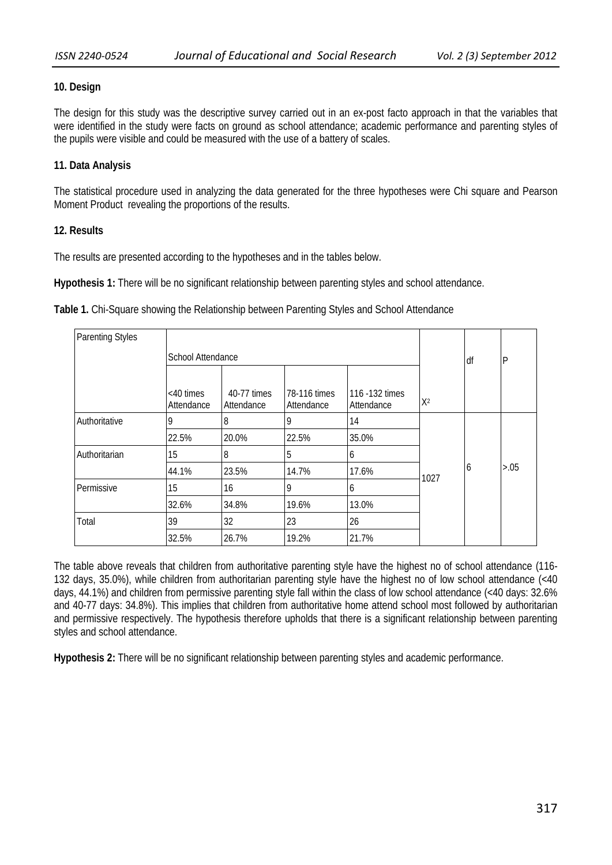## **10. Design**

The design for this study was the descriptive survey carried out in an ex-post facto approach in that the variables that were identified in the study were facts on ground as school attendance; academic performance and parenting styles of the pupils were visible and could be measured with the use of a battery of scales.

## **11. Data Analysis**

The statistical procedure used in analyzing the data generated for the three hypotheses were Chi square and Pearson Moment Product revealing the proportions of the results.

## **12. Results**

The results are presented according to the hypotheses and in the tables below.

**Hypothesis 1:** There will be no significant relationship between parenting styles and school attendance.

**Table 1.** Chi-Square showing the Relationship between Parenting Styles and School Attendance

| <b>Parenting Styles</b> |                            |                           |                            |                               |       |    |              |
|-------------------------|----------------------------|---------------------------|----------------------------|-------------------------------|-------|----|--------------|
|                         | School Attendance          |                           |                            |                               |       | df | $\mathsf{P}$ |
|                         |                            |                           |                            |                               |       |    |              |
|                         | $<$ 40 times<br>Attendance | 40-77 times<br>Attendance | 78-116 times<br>Attendance | 116 - 132 times<br>Attendance | $X^2$ |    |              |
| Authoritative           | 9                          | 8                         | 9                          | 14                            |       |    |              |
|                         | 22.5%                      | 20.0%                     | 22.5%                      | 35.0%                         |       |    |              |
| Authoritarian           | 15                         | $\overline{8}$            | 5                          | 6                             |       |    |              |
|                         | 44.1%                      | 23.5%                     | 14.7%                      | 17.6%                         | 1027  | 6  | > 0.05       |
| Permissive              | 15                         | 16                        | 9                          | 6                             |       |    |              |
|                         | 32.6%                      | 34.8%                     | 19.6%                      | 13.0%                         |       |    |              |
| Total                   | 39                         | 32                        | 23                         | 26                            |       |    |              |
|                         | 32.5%                      | 26.7%                     | 19.2%                      | 21.7%                         |       |    |              |

The table above reveals that children from authoritative parenting style have the highest no of school attendance (116- 132 days, 35.0%), while children from authoritarian parenting style have the highest no of low school attendance (<40 days, 44.1%) and children from permissive parenting style fall within the class of low school attendance (<40 days: 32.6% and 40-77 days: 34.8%). This implies that children from authoritative home attend school most followed by authoritarian and permissive respectively. The hypothesis therefore upholds that there is a significant relationship between parenting styles and school attendance.

**Hypothesis 2:** There will be no significant relationship between parenting styles and academic performance.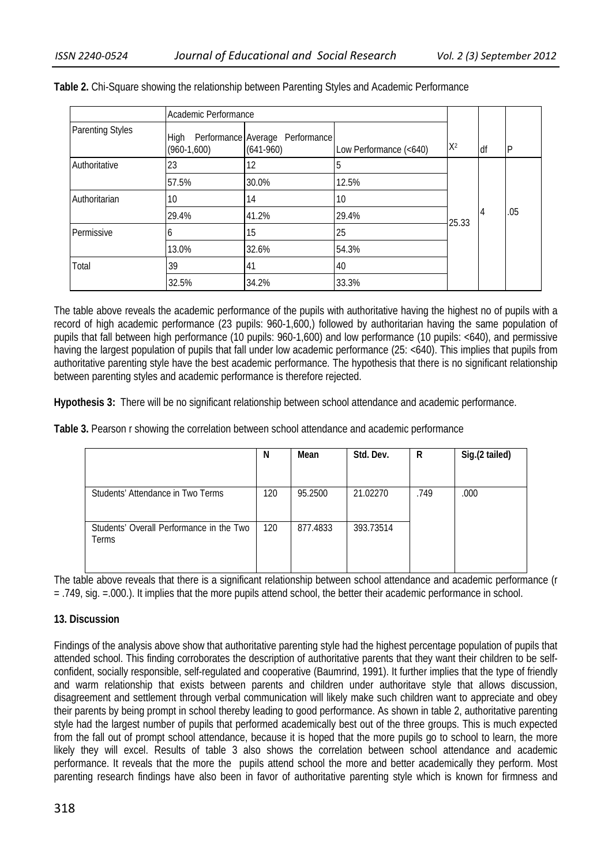|                         | Academic Performance  |                                                |                        |       |    |              |
|-------------------------|-----------------------|------------------------------------------------|------------------------|-------|----|--------------|
| <b>Parenting Styles</b> | High<br>$(960-1,600)$ | Performance Average Performance<br>$(641-960)$ | Low Performance (<640) | $X^2$ | df | $\mathsf{P}$ |
| Authoritative           | 23                    | 12                                             | 5                      |       |    |              |
|                         | 57.5%                 | 30.0%                                          | 12.5%                  |       |    |              |
| Authoritarian           | 10                    | 14                                             | 10                     |       | 4  | .05          |
|                         | 29.4%                 | 41.2%                                          | 29.4%                  | 25.33 |    |              |
| Permissive              | b                     | 15                                             | 25                     |       |    |              |
|                         | 13.0%                 | 32.6%                                          | 54.3%                  |       |    |              |
| Total                   | 39                    | 41                                             | 40                     |       |    |              |
|                         | 32.5%                 | 34.2%                                          | 33.3%                  |       |    |              |

**Table 2.** Chi-Square showing the relationship between Parenting Styles and Academic Performance

The table above reveals the academic performance of the pupils with authoritative having the highest no of pupils with a record of high academic performance (23 pupils: 960-1,600,) followed by authoritarian having the same population of pupils that fall between high performance (10 pupils: 960-1,600) and low performance (10 pupils: <640), and permissive having the largest population of pupils that fall under low academic performance (25: <640). This implies that pupils from authoritative parenting style have the best academic performance. The hypothesis that there is no significant relationship between parenting styles and academic performance is therefore rejected.

**Hypothesis 3:** There will be no significant relationship between school attendance and academic performance.

**Table 3.** Pearson r showing the correlation between school attendance and academic performance

|                                                   | N   | Mean     | Std. Dev. | R    | Sig.(2 tailed) |
|---------------------------------------------------|-----|----------|-----------|------|----------------|
| Students' Attendance in Two Terms                 | 120 | 95.2500  | 21.02270  | .749 | .000           |
| Students' Overall Performance in the Two<br>Terms | 120 | 877.4833 | 393.73514 |      |                |

The table above reveals that there is a significant relationship between school attendance and academic performance (r = .749, sig. =.000.). It implies that the more pupils attend school, the better their academic performance in school.

## **13. Discussion**

Findings of the analysis above show that authoritative parenting style had the highest percentage population of pupils that attended school. This finding corroborates the description of authoritative parents that they want their children to be selfconfident, socially responsible, self-regulated and cooperative (Baumrind, 1991). It further implies that the type of friendly and warm relationship that exists between parents and children under authoritave style that allows discussion, disagreement and settlement through verbal communication will likely make such children want to appreciate and obey their parents by being prompt in school thereby leading to good performance. As shown in table 2, authoritative parenting style had the largest number of pupils that performed academically best out of the three groups. This is much expected from the fall out of prompt school attendance, because it is hoped that the more pupils go to school to learn, the more likely they will excel. Results of table 3 also shows the correlation between school attendance and academic performance. It reveals that the more the pupils attend school the more and better academically they perform. Most parenting research findings have also been in favor of authoritative parenting style which is known for firmness and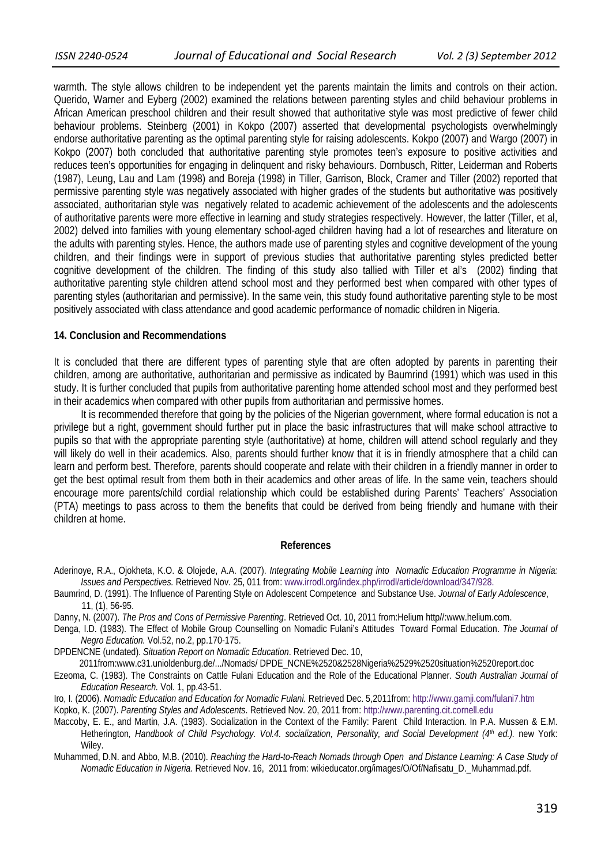warmth. The style allows children to be independent yet the parents maintain the limits and controls on their action. Querido, Warner and Eyberg (2002) examined the relations between parenting styles and child behaviour problems in African American preschool children and their result showed that authoritative style was most predictive of fewer child behaviour problems. Steinberg (2001) in Kokpo (2007) asserted that developmental psychologists overwhelmingly endorse authoritative parenting as the optimal parenting style for raising adolescents. Kokpo (2007) and Wargo (2007) in Kokpo (2007) both concluded that authoritative parenting style promotes teen's exposure to positive activities and reduces teen's opportunities for engaging in delinquent and risky behaviours. Dornbusch, Ritter, Leiderman and Roberts (1987), Leung, Lau and Lam (1998) and Boreja (1998) in Tiller, Garrison, Block, Cramer and Tiller (2002) reported that permissive parenting style was negatively associated with higher grades of the students but authoritative was positively associated, authoritarian style was negatively related to academic achievement of the adolescents and the adolescents of authoritative parents were more effective in learning and study strategies respectively. However, the latter (Tiller, et al, 2002) delved into families with young elementary school-aged children having had a lot of researches and literature on the adults with parenting styles. Hence, the authors made use of parenting styles and cognitive development of the young children, and their findings were in support of previous studies that authoritative parenting styles predicted better cognitive development of the children. The finding of this study also tallied with Tiller et al's (2002) finding that authoritative parenting style children attend school most and they performed best when compared with other types of parenting styles (authoritarian and permissive). In the same vein, this study found authoritative parenting style to be most positively associated with class attendance and good academic performance of nomadic children in Nigeria.

#### **14. Conclusion and Recommendations**

It is concluded that there are different types of parenting style that are often adopted by parents in parenting their children, among are authoritative, authoritarian and permissive as indicated by Baumrind (1991) which was used in this study. It is further concluded that pupils from authoritative parenting home attended school most and they performed best in their academics when compared with other pupils from authoritarian and permissive homes.

It is recommended therefore that going by the policies of the Nigerian government, where formal education is not a privilege but a right, government should further put in place the basic infrastructures that will make school attractive to pupils so that with the appropriate parenting style (authoritative) at home, children will attend school regularly and they will likely do well in their academics. Also, parents should further know that it is in friendly atmosphere that a child can learn and perform best. Therefore, parents should cooperate and relate with their children in a friendly manner in order to get the best optimal result from them both in their academics and other areas of life. In the same vein, teachers should encourage more parents/child cordial relationship which could be established during Parents' Teachers' Association (PTA) meetings to pass across to them the benefits that could be derived from being friendly and humane with their children at home.

#### **References**

- Aderinoye, R.A., Ojokheta, K.O. & Olojede, A.A. (2007). *Integrating Mobile Learning into Nomadic Education Programme in Nigeria: Issues and Perspectives.* Retrieved Nov. 25, 011 from: www.irrodl.org/index.php/irrodl/article/download/347/928.
- Baumrind, D. (1991). The Influence of Parenting Style on Adolescent Competence and Substance Use. *Journal of Early Adolescence*, 11, (1), 56-95.
- Danny, N. (2007). *The Pros and Cons of Permissive Parenting*. Retrieved Oct. 10, 2011 from:Helium http//:www.helium.com.
- Denga, I.D. (1983). The Effect of Mobile Group Counselling on Nomadic Fulani's Attitudes Toward Formal Education. *The Journal of Negro Education.* Vol.52, no.2, pp.170-175.

DPDENCNE (undated). *Situation Report on Nomadic Education*. Retrieved Dec. 10,

2011from:www.c31.unioldenburg.de/.../Nomads/ DPDE\_NCNE%2520&2528Nigeria%2529%2520situation%2520report.doc

Ezeoma, C. (1983). The Constraints on Cattle Fulani Education and the Role of the Educational Planner. *South Australian Journal of Education Research.* Vol. 1, pp.43-51.

- Iro, I. (2006). *Nomadic Education and Education for Nomadic Fulani.* Retrieved Dec. 5,2011from: http://www.gamji.com/fulani7.htm Kopko, K. (2007). *Parenting Styles and Adolescents*. Retrieved Nov. 20, 2011 from: http://www.parenting.cit.cornell.edu
- Maccoby, E. E., and Martin, J.A. (1983). Socialization in the Context of the Family: Parent Child Interaction. In P.A. Mussen & E.M.
- Hetherington, Handbook of Child Psychology. Vol.4. socialization, Personality, and Social Development (4<sup>th</sup> ed.). new York: Wiley.

Muhammed, D.N. and Abbo, M.B. (2010). *Reaching the Hard-to-Reach Nomads through Open and Distance Learning: A Case Study of Nomadic Education in Nigeria.* Retrieved Nov. 16, 2011 from: wikieducator.org/images/O/Of/Nafisatu\_D.\_Muhammad.pdf.